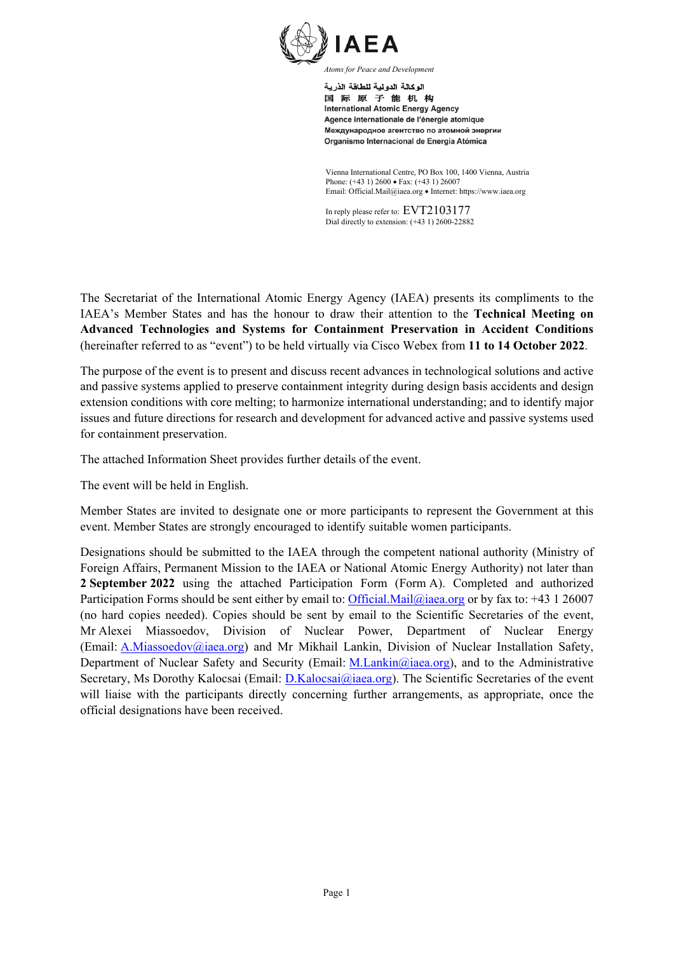

اله كالة الدو لبة للطاقة الذرية 国际原子能机构 **International Atomic Energy Agency** Agence internationale de l'énergie atomique Международное агентство по атомной энергии Organismo Internacional de Energía Atómica

Vienna International Centre, PO Box 100, 1400 Vienna, Austria Phone: (+43 1) 2600 • Fax: (+43 1) 26007 Email: Official.Mail@iaea.org • Internet: https://www.iaea.org

In reply please refer to: EVT2103177 Dial directly to extension: (+43 1) 2600-22882

The Secretariat of the International Atomic Energy Agency (IAEA) presents its compliments to the IAEA's Member States and has the honour to draw their attention to the **Technical Meeting on Advanced Technologies and Systems for Containment Preservation in Accident Conditions** (hereinafter referred to as "event") to be held virtually via Cisco Webex from **11 to 14 October 2022**.

The purpose of the event is to present and discuss recent advances in technological solutions and active and passive systems applied to preserve containment integrity during design basis accidents and design extension conditions with core melting; to harmonize international understanding; and to identify major issues and future directions for research and development for advanced active and passive systems used for containment preservation.

The attached Information Sheet provides further details of the event.

The event will be held in English.

Member States are invited to designate one or more participants to represent the Government at this event. Member States are strongly encouraged to identify suitable women participants.

Designations should be submitted to the IAEA through the competent national authority (Ministry of Foreign Affairs, Permanent Mission to the IAEA or National Atomic Energy Authority) not later than **2 September 2022** using the attached Participation Form (Form A). Completed and authorized Participation Forms should be sent either by email to: *Official.Mail@iaea.org* or by fax to: +43 1 26007 (no hard copies needed). Copies should be sent by email to the Scientific Secretaries of the event, Mr Alexei Miassoedov, Division of Nuclear Power, Department of Nuclear Energy (Email: [A.Miassoedov@iaea.org\)](mailto:A.Miassoedov@iaea.org) and Mr Mikhail Lankin, Division of Nuclear Installation Safety, Department of Nuclear Safety and Security (Email: [M.Lankin@iaea.org\)](mailto:M.Lankin@iaea.org), and to the Administrative Secretary, Ms Dorothy Kalocsai (Email: D.Kalocsai (*Q*iaea.org). The Scientific Secretaries of the event will liaise with the participants directly concerning further arrangements, as appropriate, once the official designations have been received.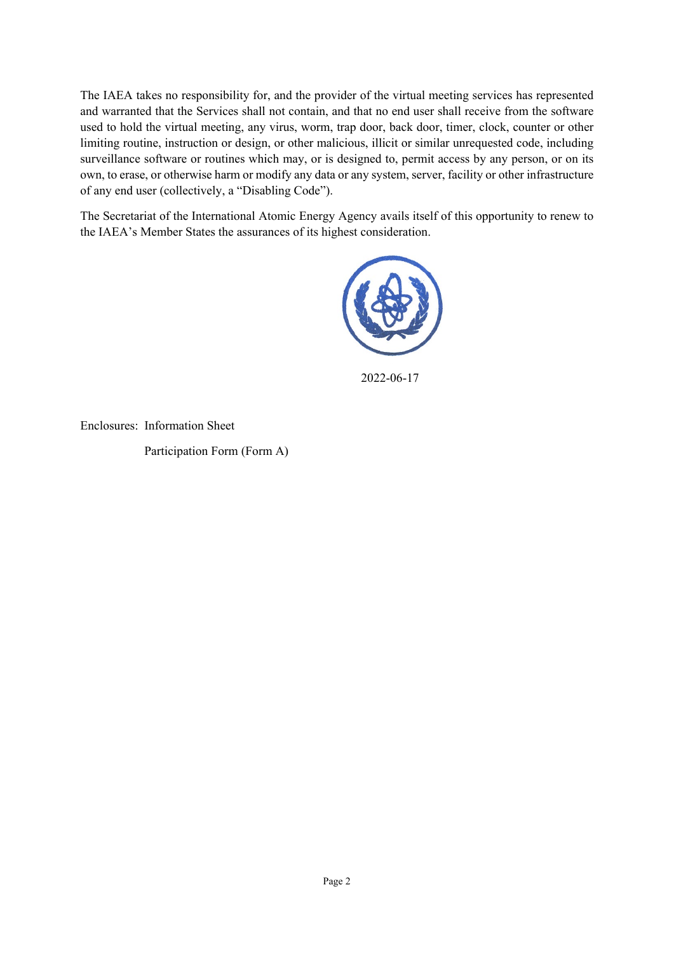The IAEA takes no responsibility for, and the provider of the virtual meeting services has represented and warranted that the Services shall not contain, and that no end user shall receive from the software used to hold the virtual meeting, any virus, worm, trap door, back door, timer, clock, counter or other limiting routine, instruction or design, or other malicious, illicit or similar unrequested code, including surveillance software or routines which may, or is designed to, permit access by any person, or on its own, to erase, or otherwise harm or modify any data or any system, server, facility or other infrastructure of any end user (collectively, a "Disabling Code").

The Secretariat of the International Atomic Energy Agency avails itself of this opportunity to renew to the IAEA's Member States the assurances of its highest consideration.



2022-06-17

Enclosures: Information Sheet

Participation Form (Form A)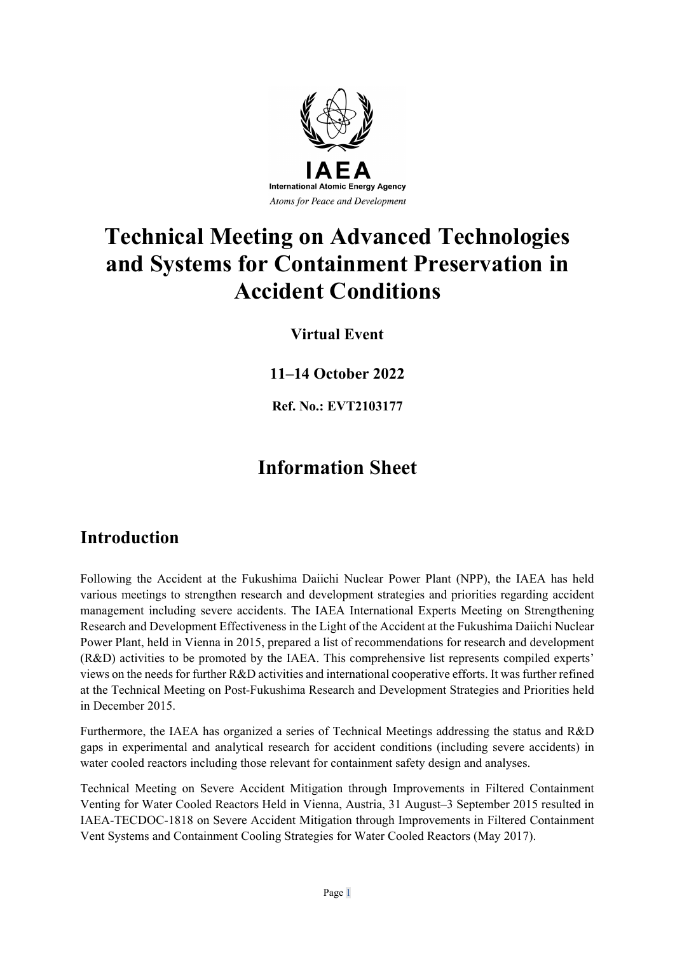

# **Technical Meeting on Advanced Technologies and Systems for Containment Preservation in Accident Conditions**

**Virtual Event**

**11–14 October 2022**

**Ref. No.: EVT2103177**

# **Information Sheet**

### **Introduction**

Following the Accident at the Fukushima Daiichi Nuclear Power Plant (NPP), the IAEA has held various meetings to strengthen research and development strategies and priorities regarding accident management including severe accidents. The IAEA International Experts Meeting on Strengthening Research and Development Effectiveness in the Light of the Accident at the Fukushima Daiichi Nuclear Power Plant, held in Vienna in 2015, prepared a list of recommendations for research and development (R&D) activities to be promoted by the IAEA. This comprehensive list represents compiled experts' views on the needs for further R&D activities and international cooperative efforts. It was further refined at the Technical Meeting on Post-Fukushima Research and Development Strategies and Priorities held in December 2015.

Furthermore, the IAEA has organized a series of Technical Meetings addressing the status and R&D gaps in experimental and analytical research for accident conditions (including severe accidents) in water cooled reactors including those relevant for containment safety design and analyses.

Technical Meeting on Severe Accident Mitigation through Improvements in Filtered Containment Venting for Water Cooled Reactors Held in Vienna, Austria, 31 August–3 September 2015 resulted in IAEA-TECDOC-1818 on Severe Accident Mitigation through Improvements in Filtered Containment Vent Systems and Containment Cooling Strategies for Water Cooled Reactors (May 2017).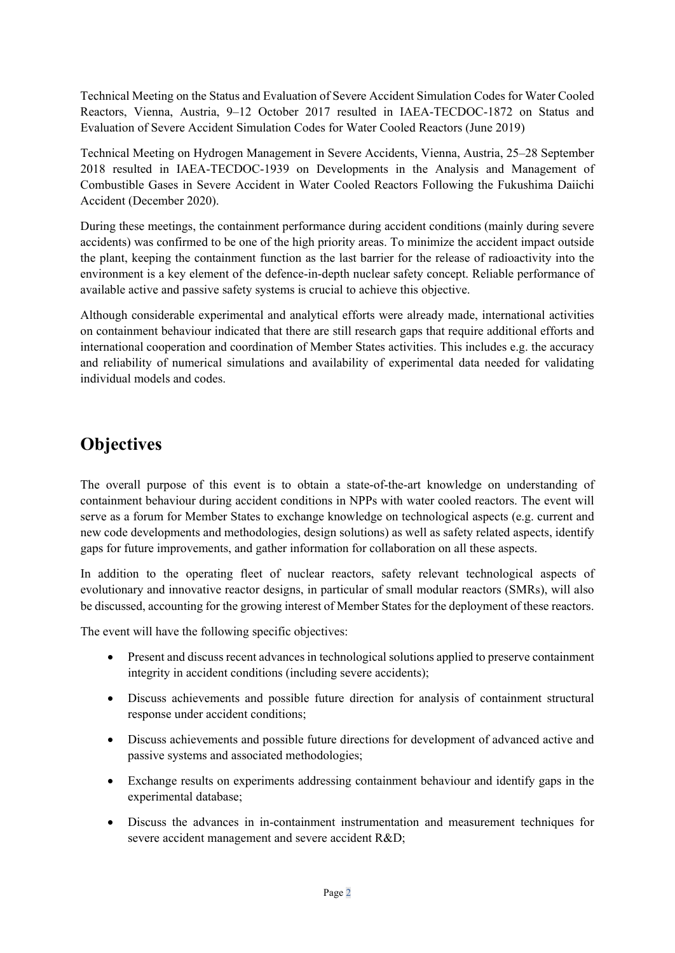Technical Meeting on the Status and Evaluation of Severe Accident Simulation Codes for Water Cooled Reactors, Vienna, Austria, 9–12 October 2017 resulted in IAEA-TECDOC-1872 on Status and Evaluation of Severe Accident Simulation Codes for Water Cooled Reactors (June 2019)

Technical Meeting on Hydrogen Management in Severe Accidents, Vienna, Austria, 25–28 September 2018 resulted in IAEA-TECDOC-1939 on Developments in the Analysis and Management of Combustible Gases in Severe Accident in Water Cooled Reactors Following the Fukushima Daiichi Accident (December 2020).

During these meetings, the containment performance during accident conditions (mainly during severe accidents) was confirmed to be one of the high priority areas. To minimize the accident impact outside the plant, keeping the containment function as the last barrier for the release of radioactivity into the environment is a key element of the defence-in-depth nuclear safety concept. Reliable performance of available active and passive safety systems is crucial to achieve this objective.

Although considerable experimental and analytical efforts were already made, international activities on containment behaviour indicated that there are still research gaps that require additional efforts and international cooperation and coordination of Member States activities. This includes e.g. the accuracy and reliability of numerical simulations and availability of experimental data needed for validating individual models and codes.

## **Objectives**

The overall purpose of this event is to obtain a state-of-the-art knowledge on understanding of containment behaviour during accident conditions in NPPs with water cooled reactors. The event will serve as a forum for Member States to exchange knowledge on technological aspects (e.g. current and new code developments and methodologies, design solutions) as well as safety related aspects, identify gaps for future improvements, and gather information for collaboration on all these aspects.

In addition to the operating fleet of nuclear reactors, safety relevant technological aspects of evolutionary and innovative reactor designs, in particular of small modular reactors (SMRs), will also be discussed, accounting for the growing interest of Member States for the deployment of these reactors.

The event will have the following specific objectives:

- Present and discuss recent advances in technological solutions applied to preserve containment integrity in accident conditions (including severe accidents);
- Discuss achievements and possible future direction for analysis of containment structural response under accident conditions;
- Discuss achievements and possible future directions for development of advanced active and passive systems and associated methodologies;
- Exchange results on experiments addressing containment behaviour and identify gaps in the experimental database;
- Discuss the advances in in-containment instrumentation and measurement techniques for severe accident management and severe accident R&D;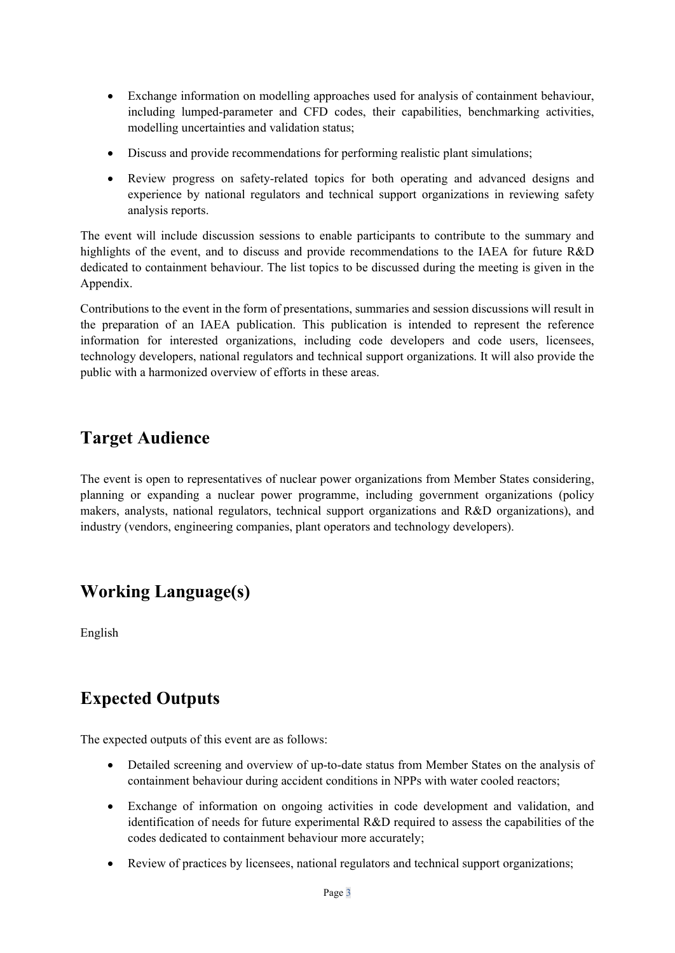- Exchange information on modelling approaches used for analysis of containment behaviour, including lumped-parameter and CFD codes, their capabilities, benchmarking activities, modelling uncertainties and validation status;
- Discuss and provide recommendations for performing realistic plant simulations;
- Review progress on safety-related topics for both operating and advanced designs and experience by national regulators and technical support organizations in reviewing safety analysis reports.

The event will include discussion sessions to enable participants to contribute to the summary and highlights of the event, and to discuss and provide recommendations to the IAEA for future R&D dedicated to containment behaviour. The list topics to be discussed during the meeting is given in the Appendix.

Contributions to the event in the form of presentations, summaries and session discussions will result in the preparation of an IAEA publication. This publication is intended to represent the reference information for interested organizations, including code developers and code users, licensees, technology developers, national regulators and technical support organizations. It will also provide the public with a harmonized overview of efforts in these areas.

### **Target Audience**

The event is open to representatives of nuclear power organizations from Member States considering, planning or expanding a nuclear power programme, including government organizations (policy makers, analysts, national regulators, technical support organizations and R&D organizations), and industry (vendors, engineering companies, plant operators and technology developers).

## **Working Language(s)**

English

## **Expected Outputs**

The expected outputs of this event are as follows:

- Detailed screening and overview of up-to-date status from Member States on the analysis of containment behaviour during accident conditions in NPPs with water cooled reactors;
- Exchange of information on ongoing activities in code development and validation, and identification of needs for future experimental R&D required to assess the capabilities of the codes dedicated to containment behaviour more accurately;
- Review of practices by licensees, national regulators and technical support organizations;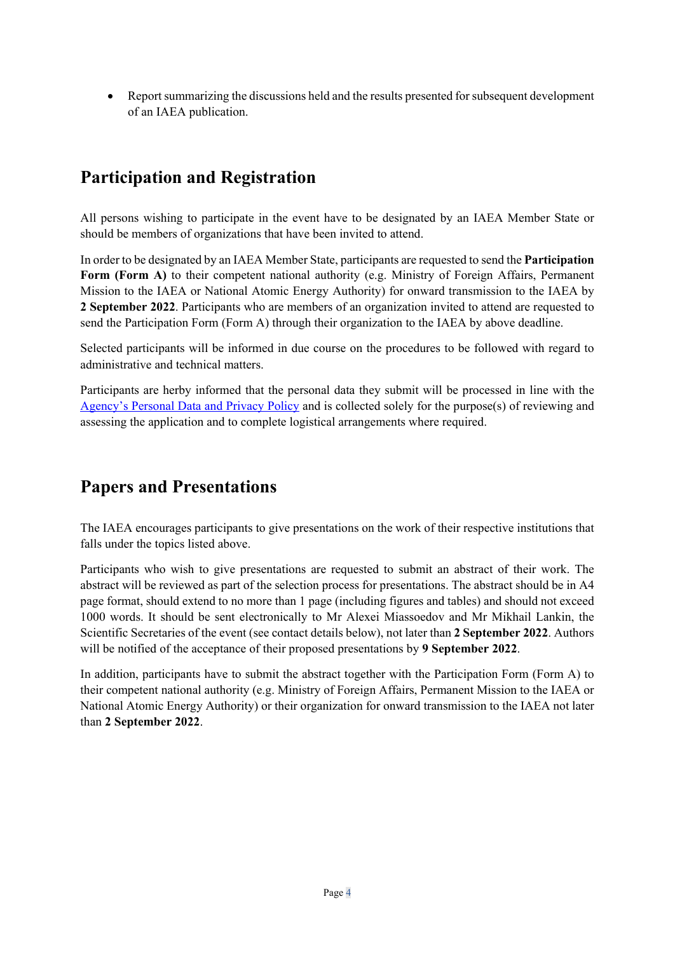• Report summarizing the discussions held and the results presented for subsequent development of an IAEA publication.

## **Participation and Registration**

All persons wishing to participate in the event have to be designated by an IAEA Member State or should be members of organizations that have been invited to attend.

In order to be designated by an IAEA Member State, participants are requested to send the **Participation Form (Form A)** to their competent national authority (e.g. Ministry of Foreign Affairs, Permanent Mission to the IAEA or National Atomic Energy Authority) for onward transmission to the IAEA by **2 September 2022**. Participants who are members of an organization invited to attend are requested to send the Participation Form (Form A) through their organization to the IAEA by above deadline.

Selected participants will be informed in due course on the procedures to be followed with regard to administrative and technical matters.

Participants are herby informed that the personal data they submit will be processed in line with the [Agency's Personal Data and Privacy Policy](https://www.iaea.org/about/privacy-policy#:%7E:text=The%20IAEA%20is%20committed%20to,accountable%20and%20non-discriminatory%20manner.&text=The%20Privacy%20Policy%20provides%20the,carrying%20out%20its%20mandated%20activities.) and is collected solely for the purpose(s) of reviewing and assessing the application and to complete logistical arrangements where required.

### **Papers and Presentations**

The IAEA encourages participants to give presentations on the work of their respective institutions that falls under the topics listed above.

Participants who wish to give presentations are requested to submit an abstract of their work. The abstract will be reviewed as part of the selection process for presentations. The abstract should be in A4 page format, should extend to no more than 1 page (including figures and tables) and should not exceed 1000 words. It should be sent electronically to Mr Alexei Miassoedov and Mr Mikhail Lankin, the Scientific Secretaries of the event (see contact details below), not later than **2 September 2022**. Authors will be notified of the acceptance of their proposed presentations by **9 September 2022**.

In addition, participants have to submit the abstract together with the Participation Form (Form A) to their competent national authority (e.g. Ministry of Foreign Affairs, Permanent Mission to the IAEA or National Atomic Energy Authority) or their organization for onward transmission to the IAEA not later than **2 September 2022**.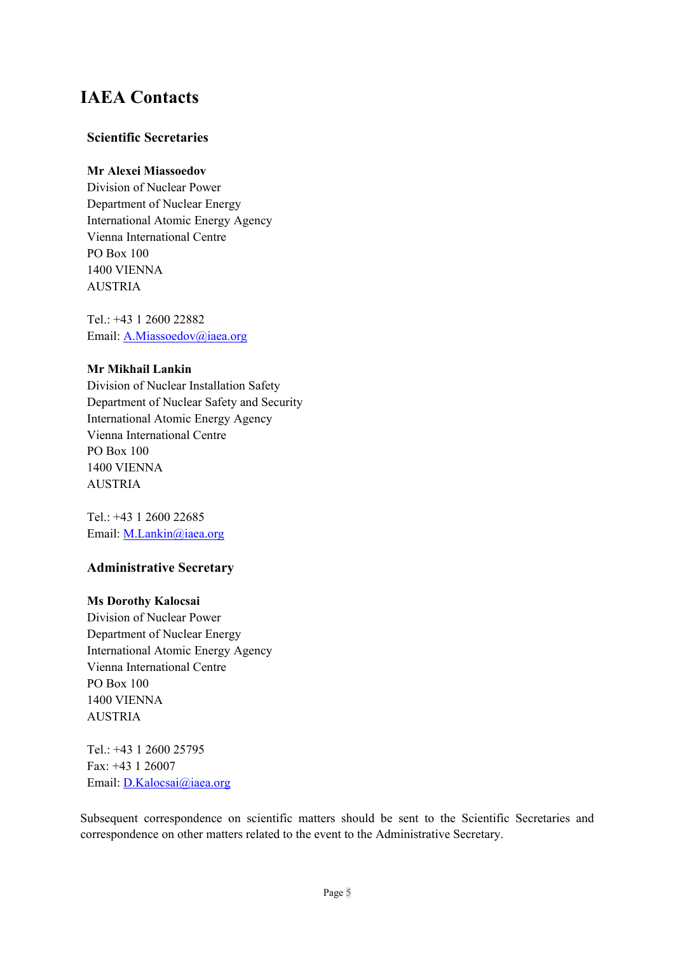### **IAEA Contacts**

#### **Scientific Secretaries**

#### **Mr Alexei Miassoedov**

Division of Nuclear Power Department of Nuclear Energy International Atomic Energy Agency Vienna International Centre PO Box 100 1400 VIENNA AUSTRIA

Tel.: +43 1 2600 22882 Email: [A.Miassoedov@iaea.org](mailto:A.Miassoedov@iaea.org)

#### **Mr Mikhail Lankin**

Division of Nuclear Installation Safety Department of Nuclear Safety and Security International Atomic Energy Agency Vienna International Centre PO Box 100 1400 VIENNA AUSTRIA

Tel.: +43 1 2600 22685 Email: [M.Lankin@iaea.org](mailto:M.Lankin@iaea.org) 

### **Administrative Secretary**

#### **Ms Dorothy Kalocsai**

Division of Nuclear Power Department of Nuclear Energy International Atomic Energy Agency Vienna International Centre PO Box 100 1400 VIENNA AUSTRIA

Tel.: +43 1 2600 25795 Fax: +43 1 26007 Email: [D.Kalocsai@iaea.org](mailto:D.Kalocsai@iaea.org)

Subsequent correspondence on scientific matters should be sent to the Scientific Secretaries and correspondence on other matters related to the event to the Administrative Secretary.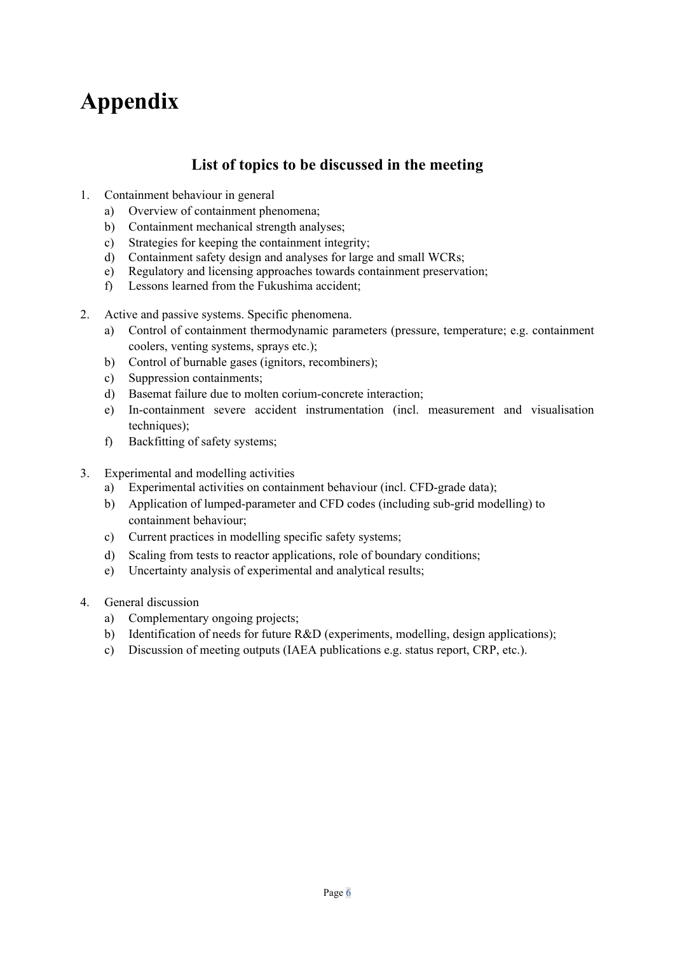# **Appendix**

### **List of topics to be discussed in the meeting**

- 1. Containment behaviour in general
	- a) Overview of containment phenomena;
	- b) Containment mechanical strength analyses;
	- c) Strategies for keeping the containment integrity;
	- d) Containment safety design and analyses for large and small WCRs;
	- e) Regulatory and licensing approaches towards containment preservation;
	- f) Lessons learned from the Fukushima accident;
- 2. Active and passive systems. Specific phenomena.
	- a) Control of containment thermodynamic parameters (pressure, temperature; e.g. containment coolers, venting systems, sprays etc.);
	- b) Control of burnable gases (ignitors, recombiners);
	- c) Suppression containments;
	- d) Basemat failure due to molten corium-concrete interaction;
	- e) In-containment severe accident instrumentation (incl. measurement and visualisation techniques);
	- f) Backfitting of safety systems;
- 3. Experimental and modelling activities
	- a) Experimental activities on containment behaviour (incl. CFD-grade data);
	- b) Application of lumped-parameter and CFD codes (including sub-grid modelling) to containment behaviour;
	- c) Current practices in modelling specific safety systems;
	- d) Scaling from tests to reactor applications, role of boundary conditions;
	- e) Uncertainty analysis of experimental and analytical results;
- 4. General discussion
	- a) Complementary ongoing projects;
	- b) Identification of needs for future R&D (experiments, modelling, design applications);
	- c) Discussion of meeting outputs (IAEA publications e.g. status report, CRP, etc.).